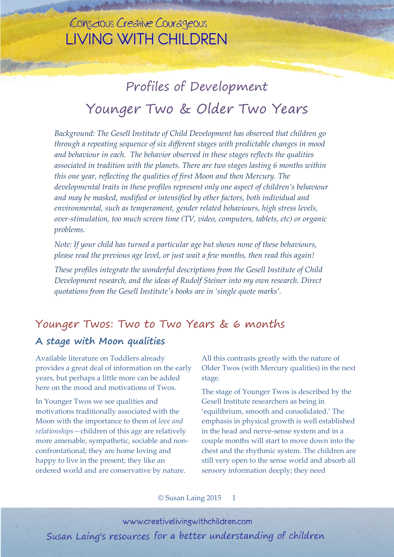# Profiles of Development Younger Two & Older Two Years

*Background: The Gesell Institute of Child Development has observed that children go through a repeating sequence of six different stages with predictable changes in mood and behaviour in each. The behavior observed in these stages reflects the qualities associated in tradition with the planets. There are two stages lasting 6 months within this one year, reflecting the qualities of first Moon and then Mercury. The developmental traits in these profiles represent only one aspect of children's behaviour and may be masked, modified or intensified by other factors, both individual and environmental, such as temperament, gender related behaviours, high stress levels, over-stimulation, too much screen time (TV, video, computers, tablets, etc) or organic problems.*

*Note: If your child has turned a particular age but shows none of these behaviours, please read the previous age level, or just wait a few months, then read this again!*

*These profiles integrate the wonderful descriptions from the Gesell Institute of Child Development research, and the ideas of Rudolf Steiner into my own research. Direct quotations from the Gesell Institute's books are in 'single quote marks'.*

### Younger Twos: Two to Two Years & 6 months

#### **A stage with Moon qualities**

Available literature on Toddlers already provides a great deal of information on the early years, but perhaps a little more can be added here on the mood and motivations of Twos.

In Younger Twos we see qualities and motivations traditionally associated with the Moon with the importance to them of *love and relationships—*children of this age are relatively more amenable, sympathetic, sociable and nonconfrontational; they are home loving and happy to live in the present; they like an ordered world and are conservative by nature.

All this contrasts greatly with the nature of Older Twos (with Mercury qualities) in the next stage.

The stage of Younger Twos is described by the Gesell Institute researchers as being in 'equilibrium, smooth and consolidated.' The emphasis in physical growth is well established in the head and nerve-sense system and in a couple months will start to move down into the chest and the rhythmic system. The children are still very open to the sense world and absorb all sensory information deeply; they need

© Susan Laing 2015 1

www.creativelivingwithchildren.com Susan Laing's resources for a better understanding of children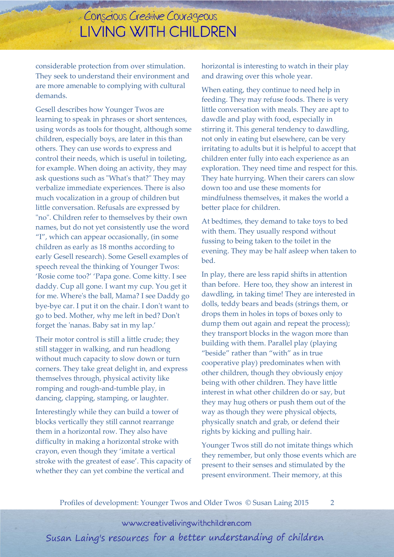considerable protection from over stimulation. They seek to understand their environment and are more amenable to complying with cultural demands.

Gesell describes how Younger Twos are learning to speak in phrases or short sentences, using words as tools for thought, although some children, especially boys, are later in this than others. They can use words to express and control their needs, which is useful in toileting, for example. When doing an activity, they may ask questions such as "What's that?" They may verbalize immediate experiences. There is also much vocalization in a group of children but little conversation. Refusals are expressed by "no". Children refer to themselves by their own names, but do not yet consistently use the word "I", which can appear occasionally, (in some children as early as 18 months according to early Gesell research). Some Gesell examples of speech reveal the thinking of Younger Twos: 'Rosie come too?' 'Papa gone. Come kitty. I see daddy. Cup all gone. I want my cup. You get it for me. Where's the ball, Mama? I see Daddy go bye-bye car. I put it on the chair. I don't want to go to bed. Mother, why me left in bed? Don't forget the 'nanas. Baby sat in my lap.'

Their motor control is still a little crude; they still stagger in walking, and run headlong without much capacity to slow down or turn corners. They take great delight in, and express themselves through, physical activity like romping and rough-and-tumble play, in dancing, clapping, stamping, or laughter.

Interestingly while they can build a tower of blocks vertically they still cannot rearrange them in a horizontal row. They also have difficulty in making a horizontal stroke with crayon, even though they 'imitate a vertical stroke with the greatest of ease'. This capacity of whether they can yet combine the vertical and

horizontal is interesting to watch in their play and drawing over this whole year.

When eating, they continue to need help in feeding. They may refuse foods. There is very little conversation with meals. They are apt to dawdle and play with food, especially in stirring it. This general tendency to dawdling, not only in eating but elsewhere, can be very irritating to adults but it is helpful to accept that children enter fully into each experience as an exploration. They need time and respect for this. They hate hurrying. When their carers can slow down too and use these moments for mindfulness themselves, it makes the world a better place for children.

At bedtimes, they demand to take toys to bed with them. They usually respond without fussing to being taken to the toilet in the evening. They may be half asleep when taken to bed.

In play, there are less rapid shifts in attention than before. Here too, they show an interest in dawdling, in taking time! They are interested in dolls, teddy bears and beads (strings them, or drops them in holes in tops of boxes only to dump them out again and repeat the process); they transport blocks in the wagon more than building with them. Parallel play (playing "beside" rather than "with" as in true cooperative play) predominates when with other children, though they obviously enjoy being with other children. They have little interest in what other children do or say, but they may hug others or push them out of the way as though they were physical objects, physically snatch and grab, or defend their rights by kicking and pulling hair.

Younger Twos still do not imitate things which they remember, but only those events which are present to their senses and stimulated by the present environment. Their memory, at this

Profiles of development: Younger Twos and Older Twos © Susan Laing 2015 2

www.creativelivingwithchildren.com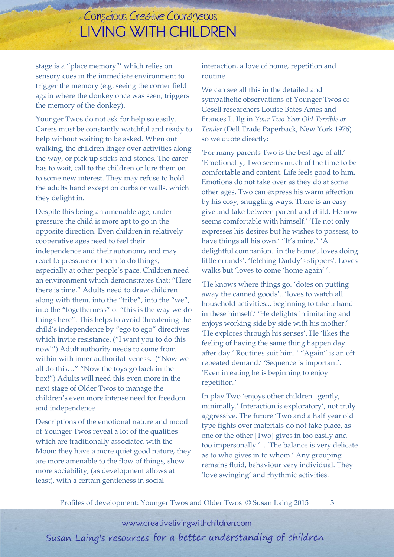stage is a "place memory"' which relies on sensory cues in the immediate environment to trigger the memory (e.g. seeing the corner field again where the donkey once was seen, triggers the memory of the donkey).

Younger Twos do not ask for help so easily. Carers must be constantly watchful and ready to help without waiting to be asked. When out walking, the children linger over activities along the way, or pick up sticks and stones. The carer has to wait, call to the children or lure them on to some new interest. They may refuse to hold the adults hand except on curbs or walls, which they delight in.

Despite this being an amenable age, under pressure the child is more apt to go in the opposite direction. Even children in relatively cooperative ages need to feel their independence and their autonomy and may react to pressure on them to do things, especially at other people's pace. Children need an environment which demonstrates that: "Here there is time." Adults need to draw children along with them, into the "tribe", into the "we", into the "togetherness" of "this is the way we do things here". This helps to avoid threatening the child's independence by "ego to ego" directives which invite resistance. ("I want you to do this now!") Adult authority needs to come from within with inner authoritativeness. ("Now we all do this…" "Now the toys go back in the box!") Adults will need this even more in the next stage of Older Twos to manage the children's even more intense need for freedom and independence.

Descriptions of the emotional nature and mood of Younger Twos reveal a lot of the qualities which are traditionally associated with the Moon: they have a more quiet good nature, they are more amenable to the flow of things, show more sociability, (as development allows at least), with a certain gentleness in social

interaction, a love of home, repetition and routine.

We can see all this in the detailed and sympathetic observations of Younger Twos of Gesell researchers Louise Bates Ames and Frances L. Ilg in *Your Two Year Old Terrible or Tender* (Dell Trade Paperback, New York 1976) so we quote directly:

'For many parents Two is the best age of all.' 'Emotionally, Two seems much of the time to be comfortable and content. Life feels good to him. Emotions do not take over as they do at some other ages. Two can express his warm affection by his cosy, snuggling ways. There is an easy give and take between parent and child. He now seems comfortable with himself.' 'He not only expresses his desires but he wishes to possess, to have things all his own.' "It's mine." 'A delightful companion...in the home', loves doing little errands', 'fetching Daddy's slippers'. Loves walks but 'loves to come 'home again' '.

'He knows where things go. 'dotes on putting away the canned goods'...'loves to watch all household activities... beginning to take a hand in these himself.' 'He delights in imitating and enjoys working side by side with his mother.' 'He explores through his senses'. He 'likes the feeling of having the same thing happen day after day.' Routines suit him. ' "Again" is an oft repeated demand.' 'Sequence is important'. 'Even in eating he is beginning to enjoy repetition.'

In play Two 'enjoys other children...gently, minimally.' Interaction is exploratory', not truly aggressive. The future 'Two and a half year old type fights over materials do not take place, as one or the other [Two] gives in too easily and too impersonally.'... 'The balance is very delicate as to who gives in to whom.' Any grouping remains fluid, behaviour very individual. They 'love swinging' and rhythmic activities.

Profiles of development: Younger Twos and Older Twos © Susan Laing 2015 3

www.creativelivingwithchildren.com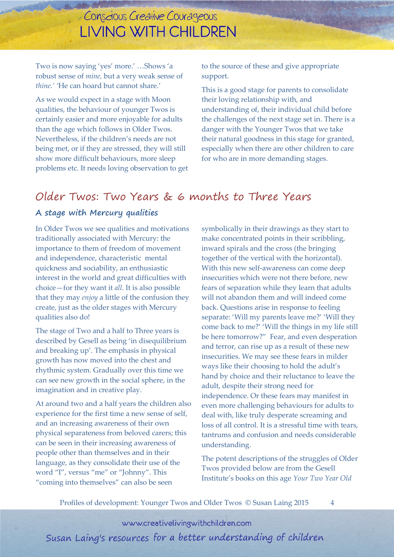Two is now saying 'yes' more.' …Shows 'a robust sense of *mine,* but a very weak sense of *thine.' '*He can hoard but cannot share.'

As we would expect in a stage with Moon qualities, the behaviour of younger Twos is certainly easier and more enjoyable for adults than the age which follows in Older Twos. Nevertheless, if the children's needs are not being met, or if they are stressed, they will still show more difficult behaviours, more sleep problems etc. It needs loving observation to get

to the source of these and give appropriate support.

This is a good stage for parents to consolidate their loving relationship with, and understanding of, their individual child before the challenges of the next stage set in. There is a danger with the Younger Twos that we take their natural goodness in this stage for granted, especially when there are other children to care for who are in more demanding stages.

### Older Twos: Two Years & 6 months to Three Years

#### **A stage with Mercury qualities**

In Older Twos we see qualities and motivations traditionally associated with Mercury: the importance to them of freedom of movement and independence, characteristic mental quickness and sociability, an enthusiastic interest in the world and great difficulties with choice—for they want it *all*. It is also possible that they may *enjoy* a little of the confusion they create, just as the older stages with Mercury qualities also do!

The stage of Two and a half to Three years is described by Gesell as being 'in disequilibrium and breaking up'. The emphasis in physical growth has now moved into the chest and rhythmic system. Gradually over this time we can see new growth in the social sphere, in the imagination and in creative play.

At around two and a half years the children also experience for the first time a new sense of self, and an increasing awareness of their own physical separateness from beloved carers; this can be seen in their increasing awareness of people other than themselves and in their language, as they consolidate their use of the word "I", versus "me" or "Johnny". This "coming into themselves" can also be seen

symbolically in their drawings as they start to make concentrated points in their scribbling, inward spirals and the cross (the bringing together of the vertical with the horizontal). With this new self-awareness can come deep insecurities which were not there before, new fears of separation while they learn that adults will not abandon them and will indeed come back. Questions arise in response to feeling separate: 'Will my parents leave me?' 'Will they come back to me?' 'Will the things in my life still be here tomorrow?" Fear, and even desperation and terror, can rise up as a result of these new insecurities. We may see these fears in milder ways like their choosing to hold the adult's hand by choice and their reluctance to leave the adult, despite their strong need for independence. Or these fears may manifest in even more challenging behaviours for adults to deal with, like truly desperate screaming and loss of all control. It is a stressful time with tears, tantrums and confusion and needs considerable understanding.

The potent descriptions of the struggles of Older Twos provided below are from the Gesell Institute's books on this age *Your Two Year Old*

Profiles of development: Younger Twos and Older Twos © Susan Laing 2015 4

www.creativelivingwithchildren.com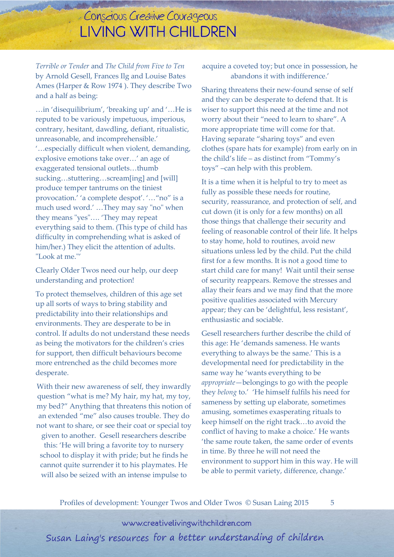*Terrible or Tender* and *The Child from Five to Ten* by Arnold Gesell, Frances Ilg and Louise Bates Ames (Harper & Row 1974 ). They describe Two and a half as being:

…in 'disequilibrium', 'breaking up' and '…He is reputed to be variously impetuous, imperious, contrary, hesitant, dawdling, defiant, ritualistic, unreasonable, and incomprehensible.' '…especially difficult when violent, demanding, explosive emotions take over…' an age of exaggerated tensional outlets…thumb sucking…stuttering…scream[ing] and [will] produce temper tantrums on the tiniest provocation.' 'a complete despot'. '…"no" is a much used word.' …They may say "no" when they means "yes"…. 'They may repeat everything said to them. (This type of child has difficulty in comprehending what is asked of him/her.) They elicit the attention of adults. "Look at me."'

Clearly Older Twos need our help, our deep understanding and protection!

To protect themselves, children of this age set up all sorts of ways to bring stability and predictability into their relationships and environments. They are desperate to be in control. If adults do not understand these needs as being the motivators for the children's cries for support, then difficult behaviours become more entrenched as the child becomes more desperate.

With their new awareness of self, they inwardly question "what is me? My hair, my hat, my toy, my bed?" Anything that threatens this notion of an extended "me" also causes trouble. They do not want to share, or see their coat or special toy given to another. Gesell researchers describe

this: 'He will bring a favorite toy to nursery school to display it with pride; but he finds he cannot quite surrender it to his playmates. He will also be seized with an intense impulse to

acquire a coveted toy; but once in possession, he abandons it with indifference.'

Sharing threatens their new-found sense of self and they can be desperate to defend that. It is wiser to support this need at the time and not worry about their "need to learn to share". A more appropriate time will come for that. Having separate "sharing toys" and even clothes (spare hats for example) from early on in the child's life – as distinct from "Tommy's toys" –can help with this problem.

It is a time when it is helpful to try to meet as fully as possible these needs for routine, security, reassurance, and protection of self, and cut down (it is only for a few months) on all those things that challenge their security and feeling of reasonable control of their life. It helps to stay home, hold to routines, avoid new situations unless led by the child. Put the child first for a few months. It is not a good time to start child care for many! Wait until their sense of security reappears. Remove the stresses and allay their fears and we may find that the more positive qualities associated with Mercury appear; they can be 'delightful, less resistant', enthusiastic and sociable.

Gesell researchers further describe the child of this age: He 'demands sameness. He wants everything to always be the same.' This is a developmental need for predictability in the same way he 'wants everything to be *appropriate*—belongings to go with the people they *belong* to.' 'He himself fulfils his need for sameness by setting up elaborate, sometimes amusing, sometimes exasperating rituals to keep himself on the right track…to avoid the conflict of having to make a choice.' He wants 'the same route taken, the same order of events in time. By three he will not need the environment to support him in this way. He will be able to permit variety, difference, change.'

Profiles of development: Younger Twos and Older Twos © Susan Laing 2015 5

www.creativelivingwithchildren.com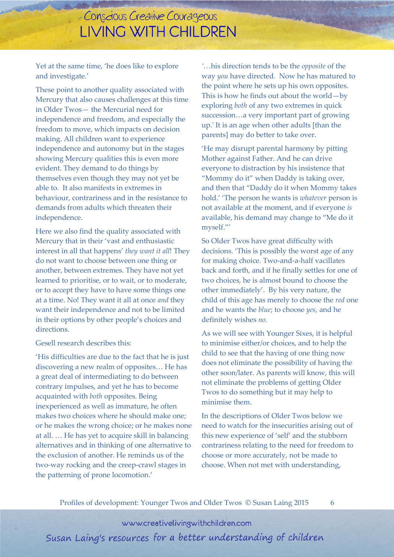Yet at the same time, 'he does like to explore and investigate.'

These point to another quality associated with Mercury that also causes challenges at this time in Older Twos— the Mercurial need for independence and freedom, and especially the freedom to move, which impacts on decision making. All children want to experience independence and autonomy but in the stages showing Mercury qualities this is even more evident. They demand to do things by themselves even though they may not yet be able to. It also manifests in extremes in behaviour, contrariness and in the resistance to demands from adults which threaten their independence.

Here we also find the quality associated with Mercury that in their 'vast and enthusiastic interest in all that happens' *they want it all*! They do not want to choose between one thing or another, between extremes. They have not yet learned to prioritise, or to wait, or to moderate, or to accept they have to have some things one at a time. No! They want it all at once *and* they want their independence and not to be limited in their options by other people's choices and directions.

Gesell research describes this:

'His difficulties are due to the fact that he is just discovering a new realm of opposites… He has a great deal of intermediating to do between contrary impulses, and yet he has to become acquainted with *both* opposites. Being inexperienced as well as immature, he often makes two choices where he should make one; or he makes the wrong choice; or he makes none at all. … He has yet to acquire skill in balancing alternatives and in thinking of one alternative to the exclusion of another. He reminds us of the two-way rocking and the creep-crawl stages in the patterning of prone locomotion.'

*'…*his direction tends to be the *opposite* of the way *you* have directed*.* Now he has matured to the point where he sets up his own opposites. This is how he finds out about the world—by exploring *both* of any two extremes in quick succession…a very important part of growing up.' It is an age when other adults [than the parents] may do better to take over.

'He may disrupt parental harmony by pitting Mother against Father. And he can drive everyone to distraction by his insistence that "Mommy do it" when Daddy is taking over, and then that "Daddy do it when Mommy takes hold.' 'The person he wants is *whatever* person is not available at the moment, and if everyone *is* available, his demand may change to "Me do it myself."'

So Older Twos have great difficulty with decisions. 'This is possibly the worst age of any for making choice. Two-and-a-half vacillates back and forth, and if he finally settles for one of two choices, he is almost bound to choose the other immediately'. By his very nature, the child of this age has merely to choose the *red* one and he wants the *blue*; to choose *yes,* and he definitely wishes *no.* 

As we will see with Younger Sixes, it is helpful to minimise either/or choices, and to help the child to see that the having of one thing now does not eliminate the possibility of having the other soon/later. As parents will know, this will not eliminate the problems of getting Older Twos to do something but it may help to minimise them.

In the descriptions of Older Twos below we need to watch for the insecurities arising out of this new experience of 'self' and the stubborn contrariness relating to the need for freedom to choose or more accurately, not be made to choose. When not met with understanding,

Profiles of development: Younger Twos and Older Twos © Susan Laing 2015 6

www.creativelivingwithchildren.com